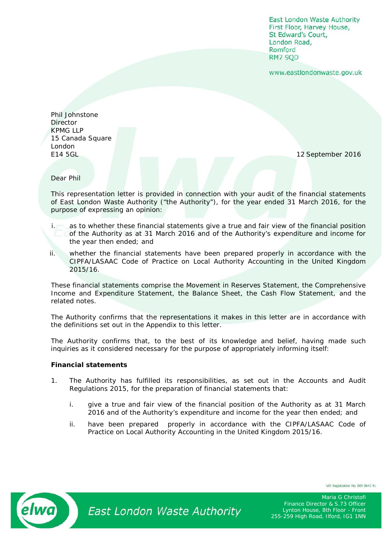East London Waste Authority First Floor, Harvey House, St Edward's Court, London Road, Romford **RM7 90D** 

www.eastlondonwaste.gov.uk

Phil Johnstone Director KPMG LLP 15 Canada Square London E14 5GL 12 September 2016

Dear Phil

This representation letter is provided in connection with your audit of the financial statements of East London Waste Authority ("the Authority"), for the year ended 31 March 2016, for the purpose of expressing an opinion:

- i. as to whether these financial statements give a true and fair view of the financial position of the Authority as at 31 March 2016 and of the Authority's expenditure and income for the year then ended; and
- ii. whether the financial statements have been prepared properly in accordance with the CIPFA/LASAAC Code of Practice on Local Authority Accounting in the United Kingdom 2015/16.

These financial statements comprise the Movement in Reserves Statement, the Comprehensive Income and Expenditure Statement, the Balance Sheet, the Cash Flow Statement, and the related notes.

The Authority confirms that the representations it makes in this letter are in accordance with the definitions set out in the Appendix to this letter.

The Authority confirms that, to the best of its knowledge and belief, having made such inquiries as it considered necessary for the purpose of appropriately informing itself:

#### **Financial statements**

- 1. The Authority has fulfilled its responsibilities, as set out in the Accounts and Audit Regulations 2015, for the preparation of financial statements that:
	- i. give a true and fair view of the financial position of the Authority as at 31 March 2016 and of the Authority's expenditure and income for the year then ended; and
	- ii. have been prepared properly in accordance with the CIPFA/LASAAC Code of Practice on Local Authority Accounting in the United Kingdom 2015/16.

VAT Registration No. 809 8643 91



East London Waste Authority

Maria G Christofi Finance Director & S.73 Officer Lynton House, 8th Floor - Front 255-259 High Road, Ilford, IG1 1NN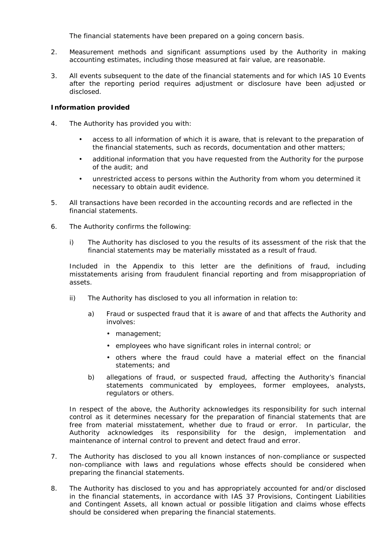The financial statements have been prepared on a going concern basis.

- 2. Measurement methods and significant assumptions used by the Authority in making accounting estimates, including those measured at fair value, are reasonable.
- 3. All events subsequent to the date of the financial statements and for which IAS 10 Events after the reporting period requires adjustment or disclosure have been adjusted or disclosed.

# **Information provided**

- 4. The Authority has provided you with:
	- access to all information of which it is aware, that is relevant to the preparation of the financial statements, such as records, documentation and other matters;
	- additional information that you have requested from the Authority for the purpose of the audit; and
	- unrestricted access to persons within the Authority from whom you determined it necessary to obtain audit evidence.
- 5. All transactions have been recorded in the accounting records and are reflected in the financial statements.
- 6. The Authority confirms the following:
	- i) The Authority has disclosed to you the results of its assessment of the risk that the financial statements may be materially misstated as a result of fraud.

Included in the Appendix to this letter are the definitions of fraud, including misstatements arising from fraudulent financial reporting and from misappropriation of assets.

- ii) The Authority has disclosed to you all information in relation to:
	- a) Fraud or suspected fraud that it is aware of and that affects the Authority and involves:
		- management:
		- employees who have significant roles in internal control; or
		- others where the fraud could have a material effect on the financial statements; and
	- b) allegations of fraud, or suspected fraud, affecting the Authority's financial statements communicated by employees, former employees, analysts, regulators or others.

In respect of the above, the Authority acknowledges its responsibility for such internal control as it determines necessary for the preparation of financial statements that are free from material misstatement, whether due to fraud or error. In particular, the Authority acknowledges its responsibility for the design, implementation and maintenance of internal control to prevent and detect fraud and error.

- 7. The Authority has disclosed to you all known instances of non-compliance or suspected non-compliance with laws and regulations whose effects should be considered when preparing the financial statements.
- 8. The Authority has disclosed to you and has appropriately accounted for and/or disclosed in the financial statements, in accordance with IAS 37 *Provisions, Contingent Liabilities and Contingent Assets*, all known actual or possible litigation and claims whose effects should be considered when preparing the financial statements.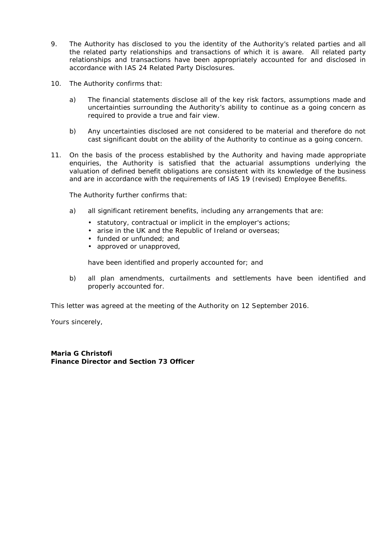- 9. The Authority has disclosed to you the identity of the Authority's related parties and all the related party relationships and transactions of which it is aware. All related party relationships and transactions have been appropriately accounted for and disclosed in accordance with *IAS 24 Related Party Disclosures*.
- 10. The Authority confirms that:
	- a) The financial statements disclose all of the key risk factors, assumptions made and uncertainties surrounding the Authority's ability to continue as a going concern as required to provide a true and fair view.
	- b) Any uncertainties disclosed are not considered to be material and therefore do not cast significant doubt on the ability of the Authority to continue as a going concern.
- 11. On the basis of the process established by the Authority and having made appropriate enquiries, the Authority is satisfied that the actuarial assumptions underlying the valuation of defined benefit obligations are consistent with its knowledge of the business and are in accordance with the requirements of IAS 19 (revised) Employee Benefits.

The Authority further confirms that:

- a) all significant retirement benefits, including any arrangements that are:
	- statutory, contractual or implicit in the employer's actions;
	- arise in the UK and the Republic of Ireland or overseas;
	- funded or unfunded; and
	- approved or unapproved,

have been identified and properly accounted for; and

b) all plan amendments, curtailments and settlements have been identified and properly accounted for.

This letter was agreed at the meeting of the Authority on 12 September 2016.

Yours sincerely,

**Maria G Christofi Finance Director and Section 73 Officer**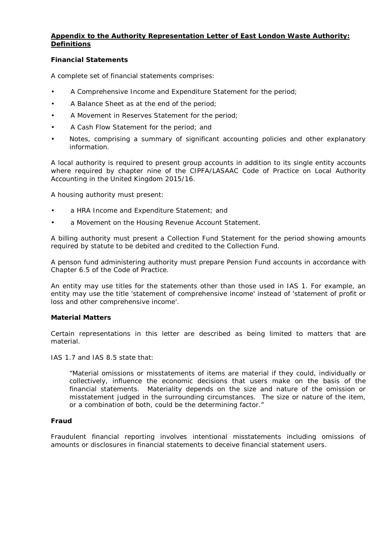# **Appendix to the Authority Representation Letter of East London Waste Authority: Definitions**

# **Financial Statements**

A complete set of financial statements comprises:

- A Comprehensive Income and Expenditure Statement for the period;
- A Balance Sheet as at the end of the period;
- A Movement in Reserves Statement for the period;
- A Cash Flow Statement for the period; and
- Notes, comprising a summary of significant accounting policies and other explanatory information.

A local authority is required to present group accounts in addition to its single entity accounts where required by chapter nine of the CIPFA/LASAAC Code of Practice on Local Authority Accounting in the United Kingdom 2015/16.

A housing authority must present:

- a HRA Income and Expenditure Statement; and
- a Movement on the Housing Revenue Account Statement.

A billing authority must present a Collection Fund Statement for the period showing amounts required by statute to be debited and credited to the Collection Fund.

A penson fund administering authority must prepare Pension Fund accounts in accordance with Chapter 6.5 of the Code of Practice.

An entity may use titles for the statements other than those used in IAS 1. For example, an entity may use the title 'statement of comprehensive income' instead of 'statement of profit or loss and other comprehensive income'.

# **Material Matters**

Certain representations in this letter are described as being limited to matters that are material.

IAS 1.7 and IAS 8.5 state that:

"Material omissions or misstatements of items are material if they could, individually or collectively, influence the economic decisions that users make on the basis of the financial statements. Materiality depends on the size and nature of the omission or misstatement judged in the surrounding circumstances. The size or nature of the item, or a combination of both, could be the determining factor."

# **Fraud**

Fraudulent financial reporting involves intentional misstatements including omissions of amounts or disclosures in financial statements to deceive financial statement users.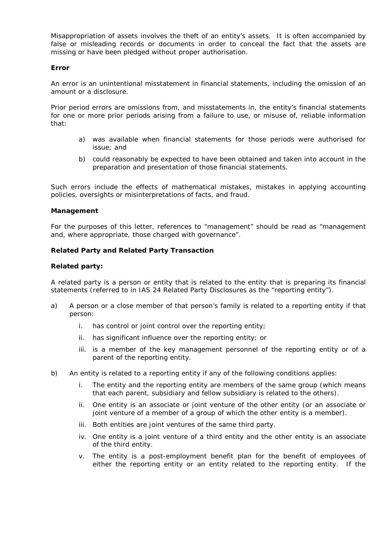Misappropriation of assets involves the theft of an entity's assets. It is often accompanied by false or misleading records or documents in order to conceal the fact that the assets are missing or have been pledged without proper authorisation.

# **Error**

An error is an unintentional misstatement in financial statements, including the omission of an amount or a disclosure.

Prior period errors are omissions from, and misstatements in, the entity's financial statements for one or more prior periods arising from a failure to use, or misuse of, reliable information that:

- a) was available when financial statements for those periods were authorised for issue; and
- b) could reasonably be expected to have been obtained and taken into account in the preparation and presentation of those financial statements.

Such errors include the effects of mathematical mistakes, mistakes in applying accounting policies, oversights or misinterpretations of facts, and fraud.

# **Management**

For the purposes of this letter, references to "management" should be read as "management and, where appropriate, those charged with governance".

# **Related Party and Related Party Transaction**

#### **Related party:**

A related party is a person or entity that is related to the entity that is preparing its financial statements (referred to in IAS 24 Related Party Disclosures as the "reporting entity").

- a) A person or a close member of that person's family is related to a reporting entity if that person:
	- i. has control or joint control over the reporting entity;
	- ii. has significant influence over the reporting entity; or
	- iii. is a member of the key management personnel of the reporting entity or of a parent of the reporting entity.
- b) An entity is related to a reporting entity if any of the following conditions applies:
	- i. The entity and the reporting entity are members of the same group (which means that each parent, subsidiary and fellow subsidiary is related to the others).
	- ii. One entity is an associate or joint venture of the other entity (or an associate or joint venture of a member of a group of which the other entity is a member).
	- iii. Both entities are joint ventures of the same third party.
	- iv. One entity is a joint venture of a third entity and the other entity is an associate of the third entity.
	- v. The entity is a post-employment benefit plan for the benefit of employees of either the reporting entity or an entity related to the reporting entity. If the